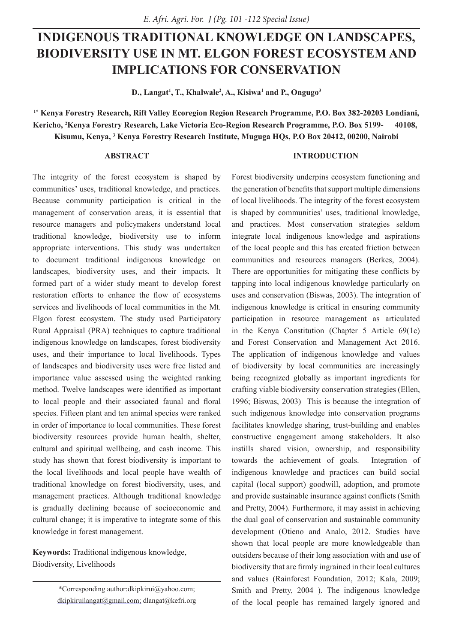# **INDIGENOUS TRADITIONAL KNOWLEDGE ON LANDSCAPES, BIODIVERSITY USE IN MT. ELGON FOREST ECOSYSTEM AND IMPLICATIONS FOR CONSERVATION**

**D., Langat1 , T., Khalwale2 , A., Kisiwa1 and P., Ongugo3**

**1\* Kenya Forestry Research, Rift Valley Ecoregion Region Research Programme, P.O. Box 382-20203 Londiani, Kericho, 2 Kenya Forestry Research, Lake Victoria Eco-Region Research Programme, P.O. Box 5199- 40108, Kisumu, Kenya, 3 Kenya Forestry Research Institute, Muguga HQs, P.O Box 20412, 00200, Nairobi**

# **ABSTRACT**

# **INTRODUCTION**

The integrity of the forest ecosystem is shaped by communities' uses, traditional knowledge, and practices. Because community participation is critical in the management of conservation areas, it is essential that resource managers and policymakers understand local traditional knowledge, biodiversity use to inform appropriate interventions. This study was undertaken to document traditional indigenous knowledge on landscapes, biodiversity uses, and their impacts. It formed part of a wider study meant to develop forest restoration efforts to enhance the flow of ecosystems services and livelihoods of local communities in the Mt. Elgon forest ecosystem. The study used Participatory Rural Appraisal (PRA) techniques to capture traditional indigenous knowledge on landscapes, forest biodiversity uses, and their importance to local livelihoods. Types of landscapes and biodiversity uses were free listed and importance value assessed using the weighted ranking method. Twelve landscapes were identified as important to local people and their associated faunal and floral species. Fifteen plant and ten animal species were ranked in order of importance to local communities. These forest biodiversity resources provide human health, shelter, cultural and spiritual wellbeing, and cash income. This study has shown that forest biodiversity is important to the local livelihoods and local people have wealth of traditional knowledge on forest biodiversity, uses, and management practices. Although traditional knowledge is gradually declining because of socioeconomic and cultural change; it is imperative to integrate some of this knowledge in forest management.

**Keywords:** Traditional indigenous knowledge, Biodiversity, Livelihoods

> \*Corresponding author:dkipkirui@yahoo.com; dkipkiruilangat@gmail.com; dlangat@kefri.org

Forest biodiversity underpins ecosystem functioning and the generation of benefits that support multiple dimensions of local livelihoods. The integrity of the forest ecosystem is shaped by communities' uses, traditional knowledge, and practices. Most conservation strategies seldom integrate local indigenous knowledge and aspirations of the local people and this has created friction between communities and resources managers (Berkes, 2004). There are opportunities for mitigating these conflicts by tapping into local indigenous knowledge particularly on uses and conservation (Biswas, 2003). The integration of indigenous knowledge is critical in ensuring community participation in resource management as articulated in the Kenya Constitution (Chapter 5 Article 69(1c) and Forest Conservation and Management Act 2016. The application of indigenous knowledge and values of biodiversity by local communities are increasingly being recognized globally as important ingredients for crafting viable biodiversity conservation strategies (Ellen, 1996; Biswas, 2003) This is because the integration of such indigenous knowledge into conservation programs facilitates knowledge sharing, trust-building and enables constructive engagement among stakeholders. It also instills shared vision, ownership, and responsibility towards the achievement of goals. Integration of indigenous knowledge and practices can build social capital (local support) goodwill, adoption, and promote and provide sustainable insurance against conflicts (Smith and Pretty, 2004). Furthermore, it may assist in achieving the dual goal of conservation and sustainable community development (Otieno and Analo, 2012. Studies have shown that local people are more knowledgeable than outsiders because of their long association with and use of biodiversity that are firmly ingrained in their local cultures and values (Rainforest Foundation, 2012; Kala, 2009; Smith and Pretty, 2004 ). The indigenous knowledge of the local people has remained largely ignored and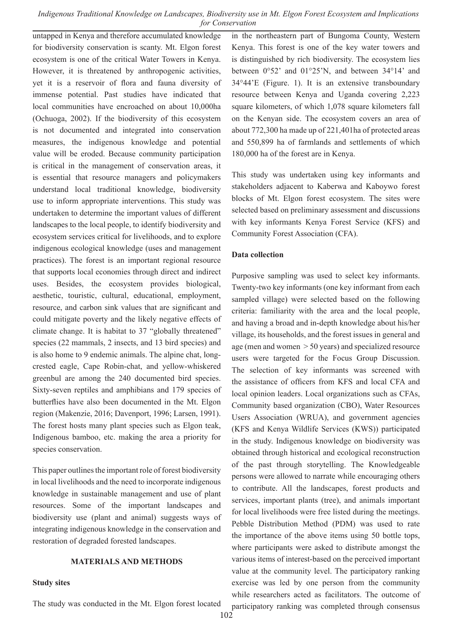untapped in Kenya and therefore accumulated knowledge for biodiversity conservation is scanty. Mt. Elgon forest ecosystem is one of the critical Water Towers in Kenya. However, it is threatened by anthropogenic activities, yet it is a reservoir of flora and fauna diversity of immense potential. Past studies have indicated that local communities have encroached on about 10,000ha (Ochuoga, 2002). If the biodiversity of this ecosystem is not documented and integrated into conservation measures, the indigenous knowledge and potential value will be eroded. Because community participation is critical in the management of conservation areas, it is essential that resource managers and policymakers understand local traditional knowledge, biodiversity use to inform appropriate interventions. This study was undertaken to determine the important values of different landscapes to the local people, to identify biodiversity and ecosystem services critical for livelihoods, and to explore indigenous ecological knowledge (uses and management practices). The forest is an important regional resource that supports local economies through direct and indirect uses. Besides, the ecosystem provides biological, aesthetic, touristic, cultural, educational, employment, resource, and carbon sink values that are significant and could mitigate poverty and the likely negative effects of climate change. It is habitat to 37 "globally threatened" species (22 mammals, 2 insects, and 13 bird species) and is also home to 9 endemic animals. The alpine chat, longcrested eagle, Cape Robin-chat, and yellow-whiskered greenbul are among the 240 documented bird species. Sixty-seven reptiles and amphibians and 179 species of butterflies have also been documented in the Mt. Elgon region (Makenzie, 2016; Davenport, 1996; Larsen, 1991). The forest hosts many plant species such as Elgon teak, Indigenous bamboo, etc. making the area a priority for species conservation.

This paper outlines the important role of forest biodiversity in local livelihoods and the need to incorporate indigenous knowledge in sustainable management and use of plant resources. Some of the important landscapes and biodiversity use (plant and animal) suggests ways of integrating indigenous knowledge in the conservation and restoration of degraded forested landscapes.

### **MATERIALS AND METHODS**

#### **Study sites**

in the northeastern part of Bungoma County, Western Kenya. This forest is one of the key water towers and is distinguished by rich biodiversity. The ecosystem lies between 0°52' and 01°25'N, and between 34°14' and 34°44'E (Figure. 1). It is an extensive transboundary resource between Kenya and Uganda covering 2,223 square kilometers, of which 1,078 square kilometers fall on the Kenyan side. The ecosystem covers an area of about 772,300 ha made up of 221,401ha of protected areas and 550,899 ha of farmlands and settlements of which 180,000 ha of the forest are in Kenya.

This study was undertaken using key informants and stakeholders adjacent to Kaberwa and Kaboywo forest blocks of Mt. Elgon forest ecosystem. The sites were selected based on preliminary assessment and discussions with key informants Kenya Forest Service (KFS) and Community Forest Association (CFA).

### **Data collection**

Purposive sampling was used to select key informants. Twenty-two key informants (one key informant from each sampled village) were selected based on the following criteria: familiarity with the area and the local people, and having a broad and in-depth knowledge about his/her village, its households, and the forest issues in general and age (men and women > 50 years) and specialized resource users were targeted for the Focus Group Discussion. The selection of key informants was screened with the assistance of officers from KFS and local CFA and local opinion leaders. Local organizations such as CFAs, Community based organization (CBO), Water Resources Users Association (WRUA), and government agencies (KFS and Kenya Wildlife Services (KWS)) participated in the study. Indigenous knowledge on biodiversity was obtained through historical and ecological reconstruction of the past through storytelling. The Knowledgeable persons were allowed to narrate while encouraging others to contribute. All the landscapes, forest products and services, important plants (tree), and animals important for local livelihoods were free listed during the meetings. Pebble Distribution Method (PDM) was used to rate the importance of the above items using 50 bottle tops, where participants were asked to distribute amongst the various items of interest-based on the perceived important value at the community level. The participatory ranking exercise was led by one person from the community while researchers acted as facilitators. The outcome of participatory ranking was completed through consensus

The study was conducted in the Mt. Elgon forest located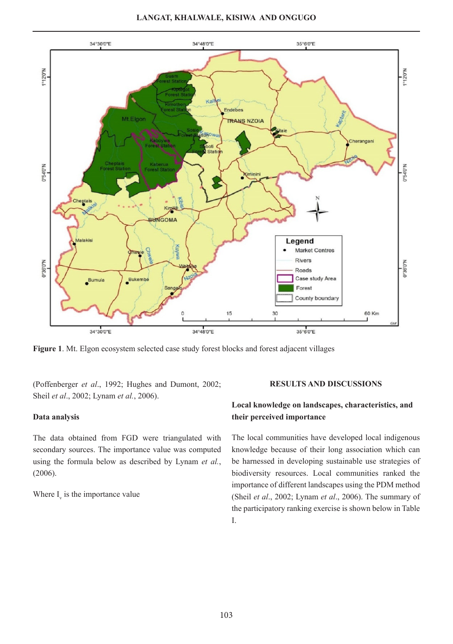

**Figure 1**. Mt. Elgon ecosystem selected case study forest blocks and forest adjacent villages

(Poffenberger *et al*., 1992; Hughes and Dumont, 2002; Sheil *et al*., 2002; Lynam *et al.*, 2006).

### **Data analysis**

The data obtained from FGD were triangulated with secondary sources. The importance value was computed using the formula below as described by Lynam *et al.*, (2006).

Where  $I_{\rm v}$  is the importance value

#### **RESULTS AND DISCUSSIONS**

# **Local knowledge on landscapes, characteristics, and their perceived importance**

The local communities have developed local indigenous knowledge because of their long association which can be harnessed in developing sustainable use strategies of biodiversity resources. Local communities ranked the importance of different landscapes using the PDM method (Sheil *et al*., 2002; Lynam *et al*., 2006). The summary of the participatory ranking exercise is shown below in Table I.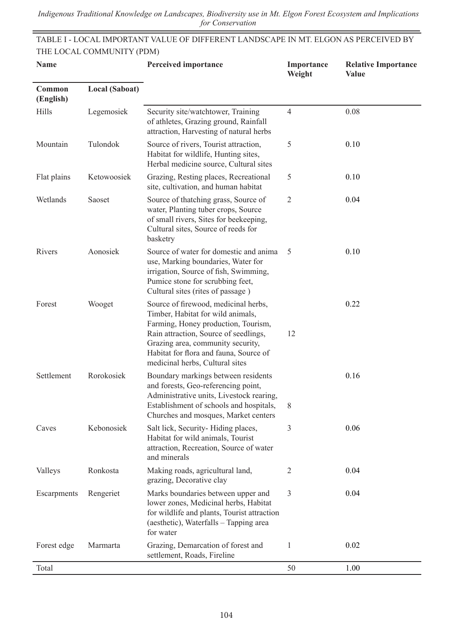E,

TABLE I - LOCAL IMPORTANT VALUE OF DIFFERENT LANDSCAPE IN MT. ELGON AS PERCEIVED BY THE LOCAL COMMUNITY (PDM)

| Name                |                | <b>Perceived importance</b>                                                                                                                                                                                                                                                 | Importance<br>Weight | <b>Relative Importance</b><br>Value |
|---------------------|----------------|-----------------------------------------------------------------------------------------------------------------------------------------------------------------------------------------------------------------------------------------------------------------------------|----------------------|-------------------------------------|
| Common<br>(English) | Local (Saboat) |                                                                                                                                                                                                                                                                             |                      |                                     |
| Hills               | Legemosiek     | Security site/watchtower, Training<br>of athletes, Grazing ground, Rainfall<br>attraction, Harvesting of natural herbs                                                                                                                                                      | $\overline{4}$       | 0.08                                |
| Mountain            | Tulondok       | Source of rivers, Tourist attraction,<br>Habitat for wildlife, Hunting sites,<br>Herbal medicine source, Cultural sites                                                                                                                                                     | 5                    | 0.10                                |
| Flat plains         | Ketowoosiek    | Grazing, Resting places, Recreational<br>site, cultivation, and human habitat                                                                                                                                                                                               | 5                    | 0.10                                |
| Wetlands            | Saoset         | Source of thatching grass, Source of<br>water, Planting tuber crops, Source<br>of small rivers, Sites for beekeeping,<br>Cultural sites, Source of reeds for<br>basketry                                                                                                    | 2                    | 0.04                                |
| Rivers              | Aonosiek       | Source of water for domestic and anima<br>use, Marking boundaries, Water for<br>irrigation, Source of fish, Swimming,<br>Pumice stone for scrubbing feet,<br>Cultural sites (rites of passage)                                                                              | 5                    | 0.10                                |
| Forest              | Wooget         | Source of firewood, medicinal herbs,<br>Timber, Habitat for wild animals,<br>Farming, Honey production, Tourism,<br>Rain attraction, Source of seedlings,<br>Grazing area, community security,<br>Habitat for flora and fauna, Source of<br>medicinal herbs, Cultural sites | 12                   | 0.22                                |
| Settlement          | Rorokosiek     | Boundary markings between residents<br>and forests, Geo-referencing point,<br>Administrative units, Livestock rearing,<br>Establishment of schools and hospitals,<br>Churches and mosques, Market centers                                                                   | 8                    | 0.16                                |
| Caves               | Kebonosiek     | Salt lick, Security-Hiding places,<br>Habitat for wild animals, Tourist<br>attraction, Recreation, Source of water<br>and minerals                                                                                                                                          | 3                    | 0.06                                |
| Valleys             | Ronkosta       | Making roads, agricultural land,<br>grazing, Decorative clay                                                                                                                                                                                                                | $\sqrt{2}$           | 0.04                                |
| Escarpments         | Rengeriet      | Marks boundaries between upper and<br>lower zones, Medicinal herbs, Habitat<br>for wildlife and plants, Tourist attraction<br>(aesthetic), Waterfalls - Tapping area<br>for water                                                                                           | $\mathfrak{Z}$       | 0.04                                |
| Forest edge         | Marmarta       | Grazing, Demarcation of forest and<br>settlement, Roads, Fireline                                                                                                                                                                                                           | $\mathbf{1}$         | 0.02                                |
| Total               |                |                                                                                                                                                                                                                                                                             | 50                   | 1.00                                |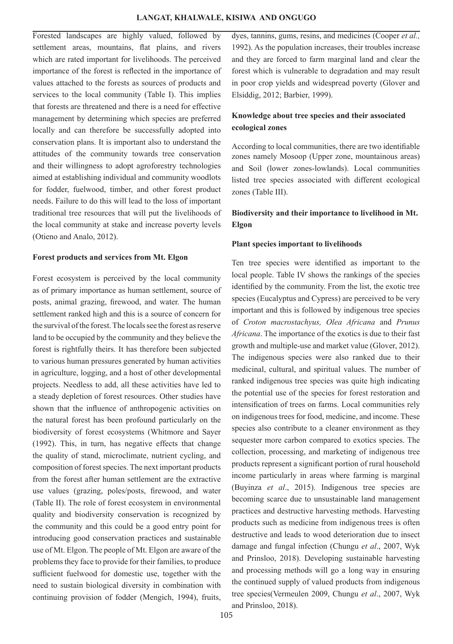Forested landscapes are highly valued, followed by settlement areas, mountains, flat plains, and rivers which are rated important for livelihoods. The perceived importance of the forest is reflected in the importance of values attached to the forests as sources of products and services to the local community (Table I). This implies that forests are threatened and there is a need for effective management by determining which species are preferred locally and can therefore be successfully adopted into conservation plans. It is important also to understand the attitudes of the community towards tree conservation and their willingness to adopt agroforestry technologies aimed at establishing individual and community woodlots for fodder, fuelwood, timber, and other forest product needs. Failure to do this will lead to the loss of important traditional tree resources that will put the livelihoods of the local community at stake and increase poverty levels (Otieno and Analo, 2012).

### **Forest products and services from Mt. Elgon**

Forest ecosystem is perceived by the local community as of primary importance as human settlement, source of posts, animal grazing, firewood, and water. The human settlement ranked high and this is a source of concern for the survival of the forest. The locals see the forest as reserve land to be occupied by the community and they believe the forest is rightfully theirs. It has therefore been subjected to various human pressures generated by human activities in agriculture, logging, and a host of other developmental projects. Needless to add, all these activities have led to a steady depletion of forest resources. Other studies have shown that the influence of anthropogenic activities on the natural forest has been profound particularly on the biodiversity of forest ecosystems (Whitmore and Sayer (1992). This, in turn, has negative effects that change the quality of stand, microclimate, nutrient cycling, and composition of forest species. The next important products from the forest after human settlement are the extractive use values (grazing, poles/posts, firewood, and water (Table II). The role of forest ecosystem in environmental quality and biodiversity conservation is recognized by the community and this could be a good entry point for introducing good conservation practices and sustainable use of Mt. Elgon. The people of Mt. Elgon are aware of the problems they face to provide for their families, to produce sufficient fuelwood for domestic use, together with the need to sustain biological diversity in combination with continuing provision of fodder (Mengich, 1994), fruits,

dyes, tannins, gums, resins, and medicines (Cooper *et al.,*  1992). As the population increases, their troubles increase and they are forced to farm marginal land and clear the forest which is vulnerable to degradation and may result in poor crop yields and widespread poverty (Glover and Elsiddig, 2012; Barbier, 1999).

# **Knowledge about tree species and their associated ecological zones**

According to local communities, there are two identifiable zones namely Mosoop (Upper zone, mountainous areas) and Soil (lower zones-lowlands). Local communities listed tree species associated with different ecological zones (Table III).

# **Biodiversity and their importance to livelihood in Mt. Elgon**

# **Plant species important to livelihoods**

Ten tree species were identified as important to the local people. Table IV shows the rankings of the species identified by the community. From the list, the exotic tree species (Eucalyptus and Cypress) are perceived to be very important and this is followed by indigenous tree species of *Croton macrostachyus, Olea Africana* and *Prunus Africana*. The importance of the exotics is due to their fast growth and multiple-use and market value (Glover, 2012). The indigenous species were also ranked due to their medicinal, cultural, and spiritual values. The number of ranked indigenous tree species was quite high indicating the potential use of the species for forest restoration and intensification of trees on farms. Local communities rely on indigenous trees for food, medicine, and income. These species also contribute to a cleaner environment as they sequester more carbon compared to exotics species. The collection, processing, and marketing of indigenous tree products represent a significant portion of rural household income particularly in areas where farming is marginal (Buyinza *et al*., 2015). Indigenous tree species are becoming scarce due to unsustainable land management practices and destructive harvesting methods. Harvesting products such as medicine from indigenous trees is often destructive and leads to wood deterioration due to insect damage and fungal infection (Chungu *et al*., 2007, Wyk and Prinsloo, 2018). Developing sustainable harvesting and processing methods will go a long way in ensuring the continued supply of valued products from indigenous tree species(Vermeulen 2009, Chungu *et al*., 2007, Wyk and Prinsloo, 2018).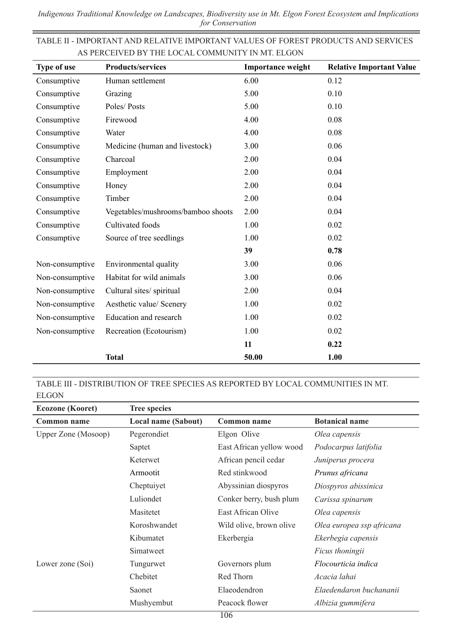۰

|                                                  |  |  | TABLE II - IMPORTANT AND RELATIVE IMPORTANT VALUES OF FOREST PRODUCTS AND SERVICES |  |
|--------------------------------------------------|--|--|------------------------------------------------------------------------------------|--|
| AS PERCEIVED BY THE LOCAL COMMUNITY IN MT. ELGON |  |  |                                                                                    |  |

Ē,

| Type of use     | <b>Products/services</b>           | <b>Importance weight</b> | <b>Relative Important Value</b> |
|-----------------|------------------------------------|--------------------------|---------------------------------|
| Consumptive     | Human settlement                   | 6.00                     | 0.12                            |
| Consumptive     | Grazing                            | 5.00                     | 0.10                            |
| Consumptive     | Poles/Posts                        | 5.00                     | 0.10                            |
| Consumptive     | Firewood                           | 4.00                     | 0.08                            |
| Consumptive     | Water                              | 4.00                     | 0.08                            |
| Consumptive     | Medicine (human and livestock)     | 3.00                     | 0.06                            |
| Consumptive     | Charcoal                           | 2.00                     | 0.04                            |
| Consumptive     | Employment                         | 2.00                     | 0.04                            |
| Consumptive     | Honey                              | 2.00                     | 0.04                            |
| Consumptive     | Timber                             | 2.00                     | 0.04                            |
| Consumptive     | Vegetables/mushrooms/bamboo shoots | 2.00                     | 0.04                            |
| Consumptive     | Cultivated foods                   | 1.00                     | 0.02                            |
| Consumptive     | Source of tree seedlings           | 1.00                     | 0.02                            |
|                 |                                    | 39                       | 0.78                            |
| Non-consumptive | Environmental quality              | 3.00                     | 0.06                            |
| Non-consumptive | Habitat for wild animals           | 3.00                     | 0.06                            |
| Non-consumptive | Cultural sites/spiritual           | 2.00                     | 0.04                            |
| Non-consumptive | Aesthetic value/ Scenery           | 1.00                     | 0.02                            |
| Non-consumptive | Education and research             | 1.00                     | 0.02                            |
| Non-consumptive | Recreation (Ecotourism)            | 1.00                     | 0.02                            |
|                 |                                    | 11                       | 0.22                            |
|                 | <b>Total</b>                       | 50.00                    | 1.00                            |

TABLE III - DISTRIBUTION OF TREE SPECIES AS REPORTED BY LOCAL COMMUNITIES IN MT. ELGON

| <b>Ecozone</b> (Kooret) | <b>Tree species</b> |                          |                           |
|-------------------------|---------------------|--------------------------|---------------------------|
| Common name             | Local name (Sabout) | Common name              | <b>Botanical name</b>     |
| Upper Zone (Mosoop)     | Pegerondiet         | Elgon Olive              | Olea capensis             |
|                         | Saptet              | East African yellow wood | Podocarpus latifolia      |
|                         | Keterwet            | African pencil cedar     | Juniperus procera         |
|                         | Armootit            | Red stinkwood            | Prunus africana           |
|                         | Cheptuiyet          | Abyssinian diospyros     | Diospyros abissinica      |
|                         | Luliondet           | Conker berry, bush plum  | Carissa spinarum          |
|                         | Masitetet           | East African Olive       | Olea capensis             |
|                         | Koroshwandet        | Wild olive, brown olive  | Olea europea ssp africana |
|                         | Kibumatet           | Ekerbergia               | Ekerbegia capensis        |
|                         | Simatweet           |                          | Ficus thoningii           |
| Lower zone (Soi)        | Tungurwet           | Governors plum           | Flocourticia indica       |
|                         | Chebitet            | Red Thorn                | Acacia lahai              |
|                         | Saonet              | Elaeodendron             | Elaedendaron buchananii   |
|                         | Mushyembut          | Peacock flower           | Albizia gummifera         |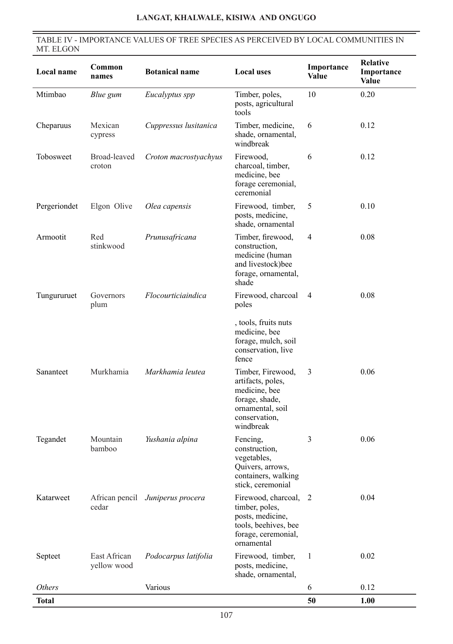# TABLE IV - IMPORTANCE VALUES OF TREE SPECIES AS PERCEIVED BY LOCAL COMMUNITIES IN MT. ELGON

| Local name    | Common<br>names             | <b>Botanical name</b>            | <b>Local uses</b>                                                                                                           | Importance<br>Value | <b>Relative</b><br>Importance<br>Value |
|---------------|-----------------------------|----------------------------------|-----------------------------------------------------------------------------------------------------------------------------|---------------------|----------------------------------------|
| Mtimbao       | Blue gum                    | Eucalyptus spp                   | Timber, poles,<br>posts, agricultural<br>tools                                                                              | 10                  | 0.20                                   |
| Cheparuus     | Mexican<br>cypress          | Cuppressus lusitanica            | Timber, medicine,<br>shade, ornamental,<br>windbreak                                                                        | 6                   | 0.12                                   |
| Tobosweet     | Broad-leaved<br>croton      | Croton macrostyachyus            | Firewood,<br>charcoal, timber,<br>medicine, bee<br>forage ceremonial,<br>ceremonial                                         | 6                   | 0.12                                   |
| Pergeriondet  | Elgon Olive                 | Olea capensis                    | Firewood, timber,<br>posts, medicine,<br>shade, ornamental                                                                  | 5                   | 0.10                                   |
| Armootit      | Red<br>stinkwood            | Prunusafricana                   | Timber, firewood,<br>construction,<br>medicine (human<br>and livestock)bee<br>forage, ornamental,<br>shade                  | $\overline{4}$      | 0.08                                   |
| Tungururuet   | Governors<br>plum           | Flocourticiaindica               | Firewood, charcoal<br>poles                                                                                                 | $\overline{4}$      | 0.08                                   |
|               |                             |                                  | , tools, fruits nuts<br>medicine, bee<br>forage, mulch, soil<br>conservation, live<br>fence                                 |                     |                                        |
| Sananteet     | Murkhamia                   | Markhamia leutea                 | Timber, Firewood,<br>artifacts, poles,<br>medicine, bee<br>forage, shade,<br>ornamental, soil<br>conservation,<br>windbreak | 3                   | 0.06                                   |
| Tegandet      | Mountain<br>bamboo          | Yushania alpina                  | Fencing,<br>construction,<br>vegetables,<br>Quivers, arrows,<br>containers, walking<br>stick, ceremonial                    | 3                   | 0.06                                   |
| Katarweet     | cedar                       | African pencil Juniperus procera | Firewood, charcoal, 2<br>timber, poles,<br>posts, medicine,<br>tools, beehives, bee<br>forage, ceremonial,<br>ornamental    |                     | 0.04                                   |
| Septeet       | East African<br>yellow wood | Podocarpus latifolia             | Firewood, timber,<br>posts, medicine,<br>shade, ornamental,                                                                 | 1                   | 0.02                                   |
| <b>Others</b> |                             | Various                          |                                                                                                                             | 6                   | 0.12                                   |
| <b>Total</b>  |                             |                                  |                                                                                                                             | 50                  | 1.00                                   |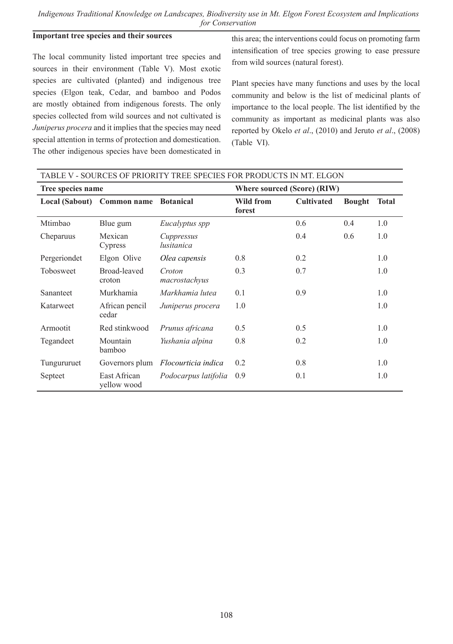# **Important tree species and their sources**

The local community listed important tree species and sources in their environment (Table V). Most exotic species are cultivated (planted) and indigenous tree species (Elgon teak, Cedar, and bamboo and Podos are mostly obtained from indigenous forests. The only species collected from wild sources and not cultivated is *Juniperus procera* and it implies that the species may need special attention in terms of protection and domestication. The other indigenous species have been domesticated in

this area; the interventions could focus on promoting farm intensification of tree species growing to ease pressure from wild sources (natural forest).

Plant species have many functions and uses by the local community and below is the list of medicinal plants of importance to the local people. The list identified by the community as important as medicinal plants was also reported by Okelo *et al*., (2010) and Jeruto *et al*., (2008) (Table VI).

| TABLE V - SOURCES OF PRIORITY TREE SPECIES FOR PRODUCTS IN MT. ELGON |                             |                          |                             |                   |               |              |
|----------------------------------------------------------------------|-----------------------------|--------------------------|-----------------------------|-------------------|---------------|--------------|
| Tree species name                                                    |                             |                          | Where sourced (Score) (RIW) |                   |               |              |
|                                                                      | Local (Sabout) Common name  | <b>Botanical</b>         | Wild from<br>forest         | <b>Cultivated</b> | <b>Bought</b> | <b>Total</b> |
| Mtimbao                                                              | Blue gum                    | Eucalyptus spp           |                             | 0.6               | 0.4           | 1.0          |
| Cheparuus                                                            | Mexican<br>Cypress          | Cuppressus<br>lusitanica |                             | 0.4               | 0.6           | 1.0          |
| Pergeriondet                                                         | Elgon Olive                 | Olea capensis            | 0.8                         | 0.2               |               | 1.0          |
| Tobosweet                                                            | Broad-leaved<br>croton      | Croton<br>macrostachyus  | 0.3                         | 0.7               |               | 1.0          |
| Sananteet                                                            | Murkhamia                   | Markhamia lutea          | 0.1                         | 0.9               |               | 1.0          |
| Katarweet                                                            | African pencil<br>cedar     | Juniperus procera        | 1.0                         |                   |               | 1.0          |
| Armootit                                                             | Red stinkwood               | Prunus africana          | 0.5                         | 0.5               |               | 1.0          |
| Tegandeet                                                            | Mountain<br>bamboo          | Yushania alpina          | 0.8                         | 0.2               |               | 1.0          |
| Tungururuet                                                          | Governors plum              | Flocourticia indica      | 0.2                         | 0.8               |               | 1.0          |
| Septeet                                                              | East African<br>yellow wood | Podocarpus latifolia     | 0.9                         | 0.1               |               | 1.0          |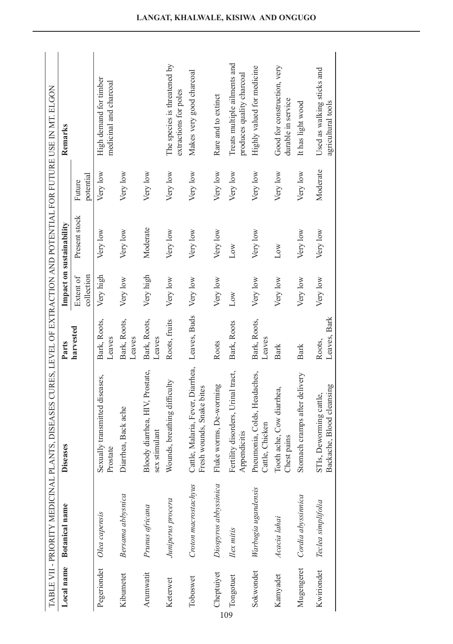|             |                       | TABLE VII - PRIORITY MEDICINAL PLANTS, DISEASES CURES, LEVEL OF EXTRACTION AND POTENTIAL FOR FUTURE USE IN MT. ELGON |                        |                         |                          |                     |                                                           |
|-------------|-----------------------|----------------------------------------------------------------------------------------------------------------------|------------------------|-------------------------|--------------------------|---------------------|-----------------------------------------------------------|
| Local name  | <b>Botanical</b> name | Diseases                                                                                                             | Parts                  |                         | Impact on sustainability |                     | Remarks                                                   |
|             |                       |                                                                                                                      | harvested              | Extent of<br>collection | Present stock            | potential<br>Future |                                                           |
| Pegeriondet | Olea capensis         | Sexually transmitted diseases,<br>Prostate                                                                           | Bark, Roots,<br>Leaves | Very high               | Very low                 | Very low            | High demand for timber<br>medicinal and charcoal          |
| Kibumetet   | Bersama abbysnica     | Diarrhea, Back ache                                                                                                  | Bark, Roots,<br>Leaves | Very low                | Very low                 | Very low            |                                                           |
| Arumwatit   | Prunus africana       | Bloody diarrhea, HIV, Prostate,<br>sex stimulant                                                                     | Bark, Roots,<br>Leaves | Very high               | Moderate                 | Very low            |                                                           |
| Keterwet    | Juniperus procera     | Wounds, breathing difficulty                                                                                         | Roots, fruits          | Very low                | Very low                 | Very low            | The species is threatened by<br>extractions for poles     |
| Toboswet    | Croton macrostachyus  | Cattle, Malaria, Fever, Diarrhea, Leaves, Buds<br>Fresh wounds, Snake bites                                          |                        | Very low                | Very low                 | Very low            | Makes very good charcoal                                  |
| Cheptuiyet  | Diospyros abbyssinica | Fluke worms, De-worming                                                                                              | Roots                  | Very low                | Very low                 | Very low            | Rare and to extinct                                       |
| Tongotuet   | Ilex mitis            | Fertility disorders, Urinal tract,<br>Appendicitis                                                                   | Bark, Roots            | Low                     | Low                      | Very low            | Treats multiple ailments and<br>produces quality charcoal |
| Sokwondet   | Warbugia ugandensis   | Pneumonia, Colds, Headaches,<br>Cattle, Chicken                                                                      | Bark, Roots,<br>Leaves | Very low                | Very low                 | Very low            | Highly valued for medicine                                |
| Kamyadet    | Acacia lahai          | Tooth ache, Cow diarrhea,<br>Chest pains                                                                             | Bark                   | Very low                | Low                      | Very low            | Good for construction, very<br>durable in service         |
| Mugengeret  | Cordia abyssinnica    | Stomach cramps after delivery                                                                                        | <b>Bark</b>            | Very low                | Very low                 | Very low            | It has light wood                                         |
| Kwiriondet  | Teclea simplifolia    | Backache, Blood cleansing<br>STIs, Deworming cattle,                                                                 | Leaves, Bark<br>Roots, | Very low                | Very low                 | Moderate            | Used as walking sticks and<br>agricultural tools          |
|             |                       |                                                                                                                      |                        |                         |                          |                     |                                                           |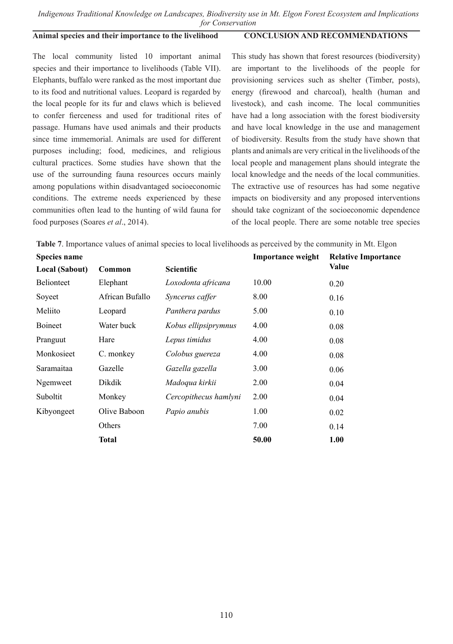# **Animal species and their importance to the livelihood**

**CONCLUSION AND RECOMMENDATIONS**

The local community listed 10 important animal species and their importance to livelihoods (Table VII). Elephants, buffalo were ranked as the most important due to its food and nutritional values. Leopard is regarded by the local people for its fur and claws which is believed to confer fierceness and used for traditional rites of passage. Humans have used animals and their products since time immemorial. Animals are used for different purposes including; food, medicines, and religious cultural practices. Some studies have shown that the use of the surrounding fauna resources occurs mainly among populations within disadvantaged socioeconomic conditions. The extreme needs experienced by these communities often lead to the hunting of wild fauna for food purposes (Soares *et al*., 2014).

This study has shown that forest resources (biodiversity) are important to the livelihoods of the people for provisioning services such as shelter (Timber, posts), energy (firewood and charcoal), health (human and livestock), and cash income. The local communities have had a long association with the forest biodiversity and have local knowledge in the use and management of biodiversity. Results from the study have shown that plants and animals are very critical in the livelihoods of the local people and management plans should integrate the local knowledge and the needs of the local communities. The extractive use of resources has had some negative impacts on biodiversity and any proposed interventions should take cognizant of the socioeconomic dependence of the local people. There are some notable tree species

**Table 7**. Importance values of animal species to local livelihoods as perceived by the community in Mt. Elgon

| <b>Species name</b> |                 |                       | <b>Importance weight</b> | <b>Relative Importance</b> |
|---------------------|-----------------|-----------------------|--------------------------|----------------------------|
| Local (Sabout)      | Common          | <b>Scientific</b>     |                          | Value                      |
| <b>Belionteet</b>   | Elephant        | Loxodonta africana    | 10.00                    | 0.20                       |
| Soyeet              | African Bufallo | Syncerus caffer       | 8.00                     | 0.16                       |
| Meliito             | Leopard         | Panthera pardus       | 5.00                     | 0.10                       |
| <b>Boineet</b>      | Water buck      | Kobus ellipsiprymnus  | 4.00                     | 0.08                       |
| Pranguut            | Hare            | Lepus timidus         | 4.00                     | 0.08                       |
| Monkosieet          | C. monkey       | Colobus guereza       | 4.00                     | 0.08                       |
| Saramaitaa          | Gazelle         | Gazella gazella       | 3.00                     | 0.06                       |
| Ngemweet            | Dikdik          | Madoqua kirkii        | 2.00                     | 0.04                       |
| Suboltit            | Monkey          | Cercopithecus hamlyni | 2.00                     | 0.04                       |
| Kibyongeet          | Olive Baboon    | Papio anubis          | 1.00                     | 0.02                       |
|                     | Others          |                       | 7.00                     | 0.14                       |
|                     | <b>Total</b>    |                       | 50.00                    | 1.00                       |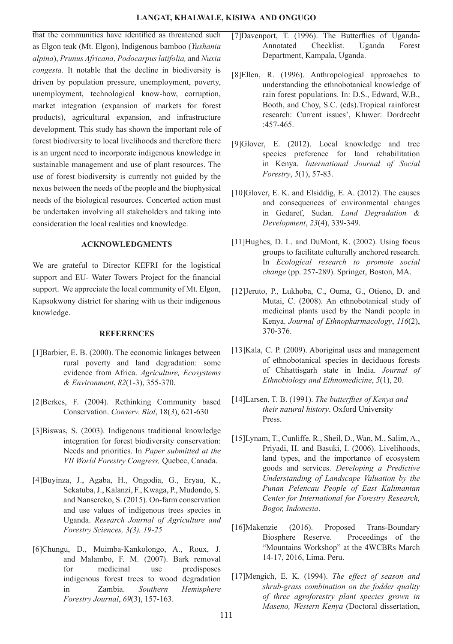that the communities have identified as threatened such as Elgon teak (Mt. Elgon), Indigenous bamboo (*Yushania alpina*), *Prunus Africana*, *Podocarpus latifolia,* and *Nuxia congesta.* It notable that the decline in biodiversity is driven by population pressure, unemployment, poverty, unemployment, technological know-how, corruption, market integration (expansion of markets for forest products), agricultural expansion, and infrastructure development. This study has shown the important role of forest biodiversity to local livelihoods and therefore there is an urgent need to incorporate indigenous knowledge in sustainable management and use of plant resources. The use of forest biodiversity is currently not guided by the nexus between the needs of the people and the biophysical needs of the biological resources. Concerted action must be undertaken involving all stakeholders and taking into consideration the local realities and knowledge.

### **ACKNOWLEDGMENTS**

We are grateful to Director KEFRI for the logistical support and EU- Water Towers Project for the financial support. We appreciate the local community of Mt. Elgon, Kapsokwony district for sharing with us their indigenous knowledge.

### **REFERENCES**

- [1]Barbier, E. B. (2000). The economic linkages between rural poverty and land degradation: some evidence from Africa. *Agriculture, Ecosystems & Environment*, *82*(1-3), 355-370.
- [2]Berkes, F. (2004). Rethinking Community based Conservation. *Conserv. Biol*, 18(*3*), 621-630
- [3]Biswas, S. (2003). Indigenous traditional knowledge integration for forest biodiversity conservation: Needs and priorities. In *Paper submitted at the VII World Forestry Congress,* Quebec, Canada.
- [4]Buyinza, J., Agaba, H., Ongodia, G., Eryau, K., Sekatuba, J., Kalanzi, F., Kwaga, P., Mudondo, S. and Nansereko, S. (2015). On-farm conservation and use values of indigenous trees species in Uganda. *Research Journal of Agriculture and Forestry Sciences, 3(3), 19-25*
- [6]Chungu, D., Muimba-Kankolongo, A., Roux, J. and Malambo, F. M. (2007). Bark removal for medicinal use predisposes indigenous forest trees to wood degradation in Zambia. *Southern Hemisphere Forestry Journal*, *69*(3), 157-163.
- [7]Davenport, T. (1996). The Butterflies of Uganda-Annotated Checklist. Uganda Forest Department, Kampala, Uganda.
- [8]Ellen, R. (1996). Anthropological approaches to understanding the ethnobotanical knowledge of rain forest populations. In: D.S., Edward, W.B., Booth, and Choy, S.C. (eds).Tropical rainforest research: Current issues', Kluwer: Dordrecht :457-465.
- [9]Glover, E. (2012). Local knowledge and tree species preference for land rehabilitation in Kenya. *International Journal of Social Forestry*, *5*(1), 57-83.
- [10]Glover, E. K. and Elsiddig, E. A. (2012). The causes and consequences of environmental changes in Gedaref, Sudan. *Land Degradation & Development*, *23*(4), 339-349.
- [11] Hughes, D. L. and DuMont, K. (2002). Using focus groups to facilitate culturally anchored research. In *Ecological research to promote social change* (pp. 257-289). Springer, Boston, MA.
- [12]Jeruto, P., Lukhoba, C., Ouma, G., Otieno, D. and Mutai, C. (2008). An ethnobotanical study of medicinal plants used by the Nandi people in Kenya. *Journal of Ethnopharmacology*, *116*(2), 370-376.
- [13]Kala, C. P. (2009). Aboriginal uses and management of ethnobotanical species in deciduous forests of Chhattisgarh state in India. *Journal of Ethnobiology and Ethnomedicine*, *5*(1), 20.
- [14]Larsen, T. B. (1991). *The butterflies of Kenya and their natural history*. Oxford University Press.
- [15]Lynam, T., Cunliffe, R., Sheil, D., Wan, M., Salim, A., Priyadi, H. and Basuki, I. (2006). Livelihoods, land types, and the importance of ecosystem goods and services. *Developing a Predictive Understanding of Landscape Valuation by the Punan Pelencau People of East Kalimantan Center for International for Forestry Research, Bogor, Indonesia*.
- [16]Makenzie (2016). Proposed Trans-Boundary Biosphere Reserve. Proceedings of the "Mountains Workshop" at the 4WCBRs March 14-17, 2016, Lima. Peru.
- [17]Mengich, E. K. (1994). *The effect of season and shrub-grass combination on the fodder quality of three agroforestry plant species grown in Maseno, Western Kenya* (Doctoral dissertation,